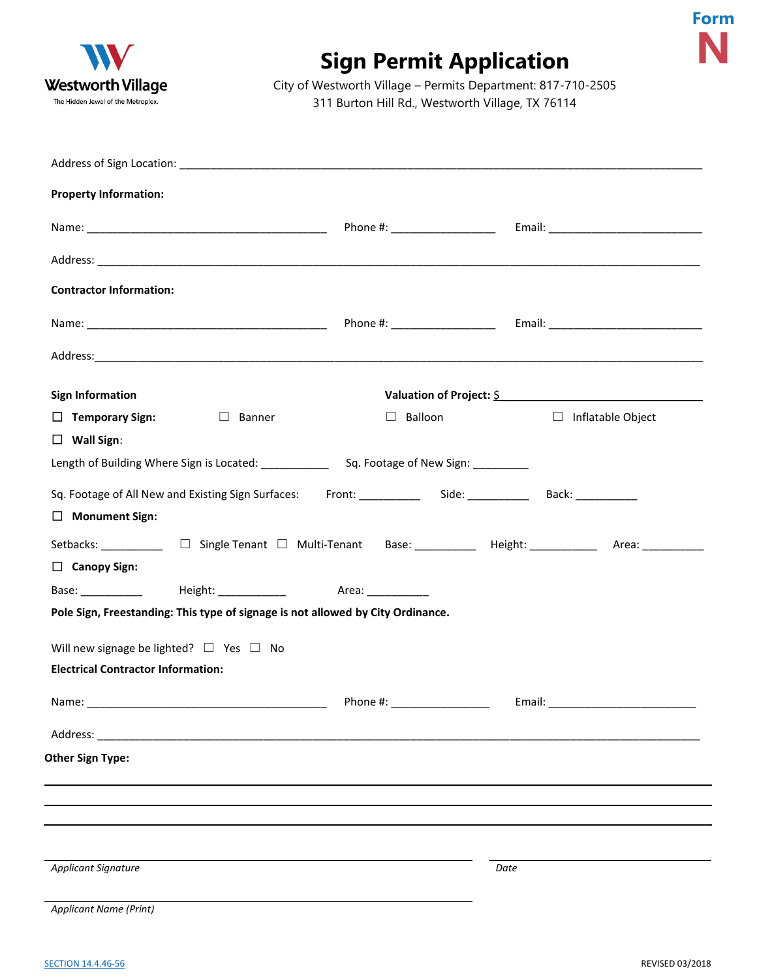| WV                                 |
|------------------------------------|
| <b>Westworth Village</b>           |
| The Hidden Jewel of the Metroplex. |

## **Sign Permit Application**



| <b>Property Information:</b>              |                                                                                                                                                                                                                                |               |                                                                                                           |  |
|-------------------------------------------|--------------------------------------------------------------------------------------------------------------------------------------------------------------------------------------------------------------------------------|---------------|-----------------------------------------------------------------------------------------------------------|--|
|                                           |                                                                                                                                                                                                                                |               |                                                                                                           |  |
|                                           |                                                                                                                                                                                                                                |               |                                                                                                           |  |
| <b>Contractor Information:</b>            |                                                                                                                                                                                                                                |               |                                                                                                           |  |
|                                           |                                                                                                                                                                                                                                |               |                                                                                                           |  |
|                                           |                                                                                                                                                                                                                                |               |                                                                                                           |  |
| <b>Sign Information</b>                   |                                                                                                                                                                                                                                |               | Valuation of Project: \$                                                                                  |  |
| $\Box$ Temporary Sign:                    | $\Box$ Banner                                                                                                                                                                                                                  | Balloon<br>⊔. | □ Inflatable Object                                                                                       |  |
| $\Box$ Wall Sign:                         |                                                                                                                                                                                                                                |               |                                                                                                           |  |
|                                           |                                                                                                                                                                                                                                |               |                                                                                                           |  |
|                                           |                                                                                                                                                                                                                                |               | Sq. Footage of All New and Existing Sign Surfaces: Front: ____________ Side: __________ Back: __________  |  |
| $\Box$ Monument Sign:                     |                                                                                                                                                                                                                                |               |                                                                                                           |  |
|                                           |                                                                                                                                                                                                                                |               | Setbacks: ___________ □ Single Tenant □ Multi-Tenant Base: _________ Height: __________ Area: ___________ |  |
| $\Box$ Canopy Sign:                       |                                                                                                                                                                                                                                |               |                                                                                                           |  |
|                                           | Base: ____________ Height: ____________ Area: ___________                                                                                                                                                                      |               |                                                                                                           |  |
|                                           | Pole Sign, Freestanding: This type of signage is not allowed by City Ordinance.                                                                                                                                                |               |                                                                                                           |  |
|                                           | Will new signage be lighted? $\Box$ Yes $\Box$ No                                                                                                                                                                              |               |                                                                                                           |  |
| <b>Electrical Contractor Information:</b> |                                                                                                                                                                                                                                |               |                                                                                                           |  |
| Name:                                     |                                                                                                                                                                                                                                | Phone #:      | _____________Email: _                                                                                     |  |
|                                           | Address: Analysis and the state of the state of the state of the state of the state of the state of the state of the state of the state of the state of the state of the state of the state of the state of the state of the s |               |                                                                                                           |  |
| <b>Other Sign Type:</b>                   |                                                                                                                                                                                                                                |               |                                                                                                           |  |
|                                           |                                                                                                                                                                                                                                |               |                                                                                                           |  |
|                                           |                                                                                                                                                                                                                                |               |                                                                                                           |  |
|                                           |                                                                                                                                                                                                                                |               |                                                                                                           |  |
|                                           |                                                                                                                                                                                                                                |               |                                                                                                           |  |
| <b>Applicant Signature</b>                |                                                                                                                                                                                                                                |               | Date                                                                                                      |  |
| Applicant Name (Print)                    |                                                                                                                                                                                                                                |               |                                                                                                           |  |

**Form**

**N**